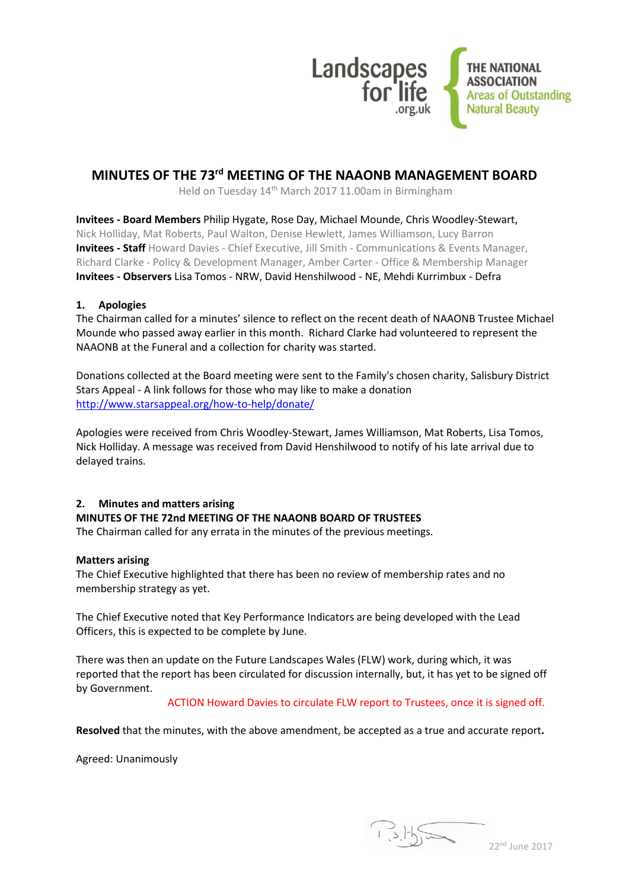

# **MINUTES OF THE 73rd MEETING OF THE NAAONB MANAGEMENT BOARD**

Held on Tuesday 14th March 2017 11.00am in Birmingham

**Invitees - Board Members** Philip Hygate, Rose Day, Michael Mounde, Chris Woodley-Stewart, Nick Holliday, Mat Roberts, Paul Walton, Denise Hewlett, James Williamson, Lucy Barron **Invitees - Staff** Howard Davies - Chief Executive, Jill Smith - Communications & Events Manager, Richard Clarke - Policy & Development Manager, Amber Carter - Office & Membership Manager **Invitees - Observers** Lisa Tomos - NRW, David Henshilwood - NE, Mehdi Kurrimbux - Defra

# **1. Apologies**

The Chairman called for a minutes' silence to reflect on the recent death of NAAONB Trustee Michael Mounde who passed away earlier in this month. Richard Clarke had volunteered to represent the NAAONB at the Funeral and a collection for charity was started.

Donations collected at the Board meeting were sent to the Family's chosen charity, Salisbury District Stars Appeal - A link follows for those who may like to make a donation <http://www.starsappeal.org/how-to-help/donate/>

Apologies were received from Chris Woodley-Stewart, James Williamson, Mat Roberts, Lisa Tomos, Nick Holliday. A message was received from David Henshilwood to notify of his late arrival due to delayed trains.

#### **2. Minutes and matters arising**

#### **MINUTES OF THE 72nd MEETING OF THE NAAONB BOARD OF TRUSTEES**

The Chairman called for any errata in the minutes of the previous meetings.

#### **Matters arising**

The Chief Executive highlighted that there has been no review of membership rates and no membership strategy as yet.

The Chief Executive noted that Key Performance Indicators are being developed with the Lead Officers, this is expected to be complete by June.

There was then an update on the Future Landscapes Wales (FLW) work, during which, it was reported that the report has been circulated for discussion internally, but, it has yet to be signed off by Government.

#### ACTION Howard Davies to circulate FLW report to Trustees, once it is signed off.

**Resolved** that the minutes, with the above amendment, be accepted as a true and accurate report**.**

Agreed: Unanimously

 $3.15$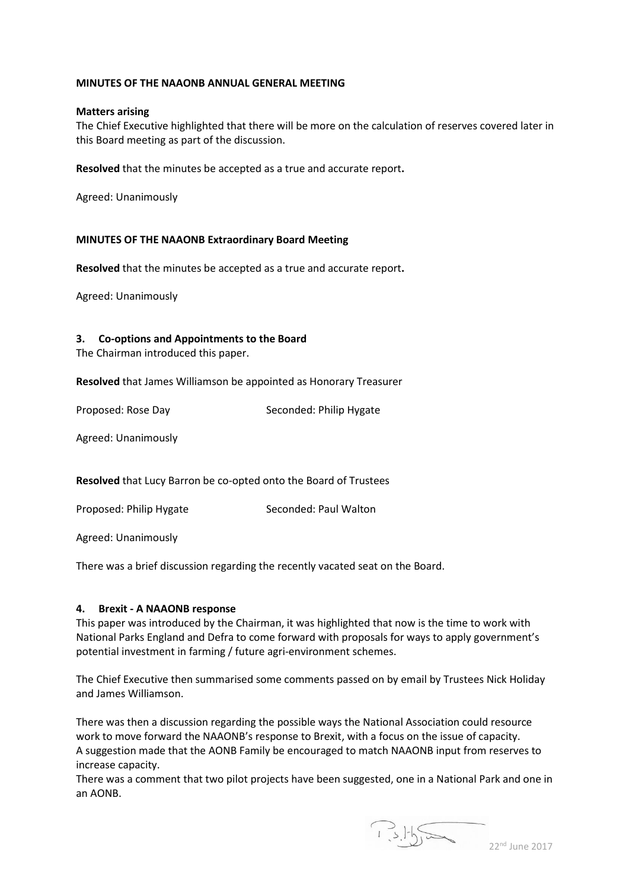#### **MINUTES OF THE NAAONB ANNUAL GENERAL MEETING**

#### **Matters arising**

The Chief Executive highlighted that there will be more on the calculation of reserves covered later in this Board meeting as part of the discussion.

**Resolved** that the minutes be accepted as a true and accurate report**.**

Agreed: Unanimously

#### **MINUTES OF THE NAAONB Extraordinary Board Meeting**

**Resolved** that the minutes be accepted as a true and accurate report**.**

Agreed: Unanimously

#### **3. Co-options and Appointments to the Board**

The Chairman introduced this paper.

**Resolved** that James Williamson be appointed as Honorary Treasurer

Proposed: Rose Day Seconded: Philip Hygate

Agreed: Unanimously

**Resolved** that Lucy Barron be co-opted onto the Board of Trustees

Proposed: Philip Hygate Seconded: Paul Walton

Agreed: Unanimously

There was a brief discussion regarding the recently vacated seat on the Board.

#### **4. Brexit - A NAAONB response**

This paper was introduced by the Chairman, it was highlighted that now is the time to work with National Parks England and Defra to come forward with proposals for ways to apply government's potential investment in farming / future agri-environment schemes.

The Chief Executive then summarised some comments passed on by email by Trustees Nick Holiday and James Williamson.

There was then a discussion regarding the possible ways the National Association could resource work to move forward the NAAONB's response to Brexit, with a focus on the issue of capacity. A suggestion made that the AONB Family be encouraged to match NAAONB input from reserves to increase capacity.

There was a comment that two pilot projects have been suggested, one in a National Park and one in an AONB.

 $1.31\frac{1}{22}$  June 2017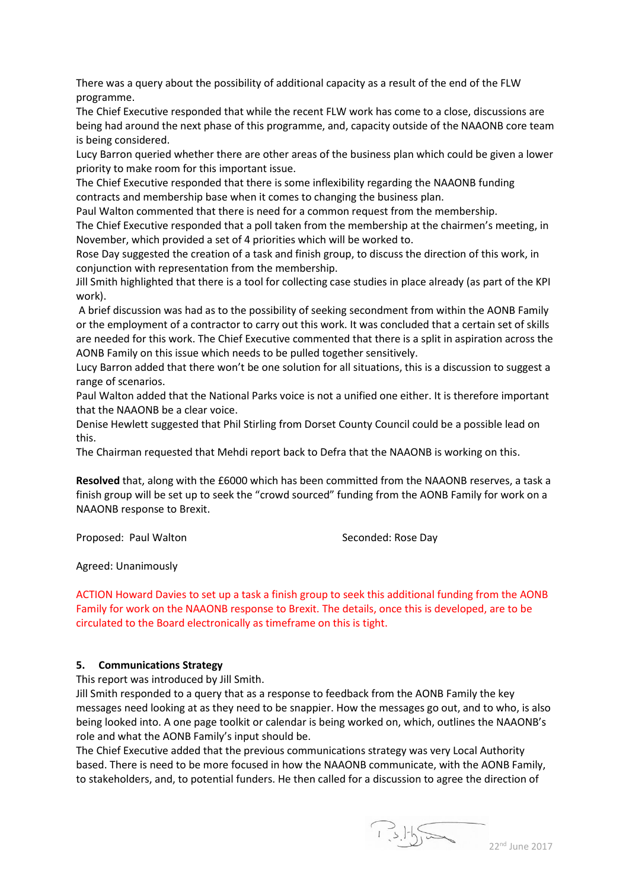There was a query about the possibility of additional capacity as a result of the end of the FLW programme.

The Chief Executive responded that while the recent FLW work has come to a close, discussions are being had around the next phase of this programme, and, capacity outside of the NAAONB core team is being considered.

Lucy Barron queried whether there are other areas of the business plan which could be given a lower priority to make room for this important issue.

The Chief Executive responded that there is some inflexibility regarding the NAAONB funding contracts and membership base when it comes to changing the business plan.

Paul Walton commented that there is need for a common request from the membership.

The Chief Executive responded that a poll taken from the membership at the chairmen's meeting, in November, which provided a set of 4 priorities which will be worked to.

Rose Day suggested the creation of a task and finish group, to discuss the direction of this work, in conjunction with representation from the membership.

Jill Smith highlighted that there is a tool for collecting case studies in place already (as part of the KPI work).

A brief discussion was had as to the possibility of seeking secondment from within the AONB Family or the employment of a contractor to carry out this work. It was concluded that a certain set of skills are needed for this work. The Chief Executive commented that there is a split in aspiration across the AONB Family on this issue which needs to be pulled together sensitively.

Lucy Barron added that there won't be one solution for all situations, this is a discussion to suggest a range of scenarios.

Paul Walton added that the National Parks voice is not a unified one either. It is therefore important that the NAAONB be a clear voice.

Denise Hewlett suggested that Phil Stirling from Dorset County Council could be a possible lead on this.

The Chairman requested that Mehdi report back to Defra that the NAAONB is working on this.

**Resolved** that, along with the £6000 which has been committed from the NAAONB reserves, a task a finish group will be set up to seek the "crowd sourced" funding from the AONB Family for work on a NAAONB response to Brexit.

Proposed: Paul Walton Seconded: Rose Day

Agreed: Unanimously

ACTION Howard Davies to set up a task a finish group to seek this additional funding from the AONB Family for work on the NAAONB response to Brexit. The details, once this is developed, are to be circulated to the Board electronically as timeframe on this is tight.

# **5. Communications Strategy**

This report was introduced by Jill Smith.

Jill Smith responded to a query that as a response to feedback from the AONB Family the key messages need looking at as they need to be snappier. How the messages go out, and to who, is also being looked into. A one page toolkit or calendar is being worked on, which, outlines the NAAONB's role and what the AONB Family's input should be.

The Chief Executive added that the previous communications strategy was very Local Authority based. There is need to be more focused in how the NAAONB communicate, with the AONB Family, to stakeholders, and, to potential funders. He then called for a discussion to agree the direction of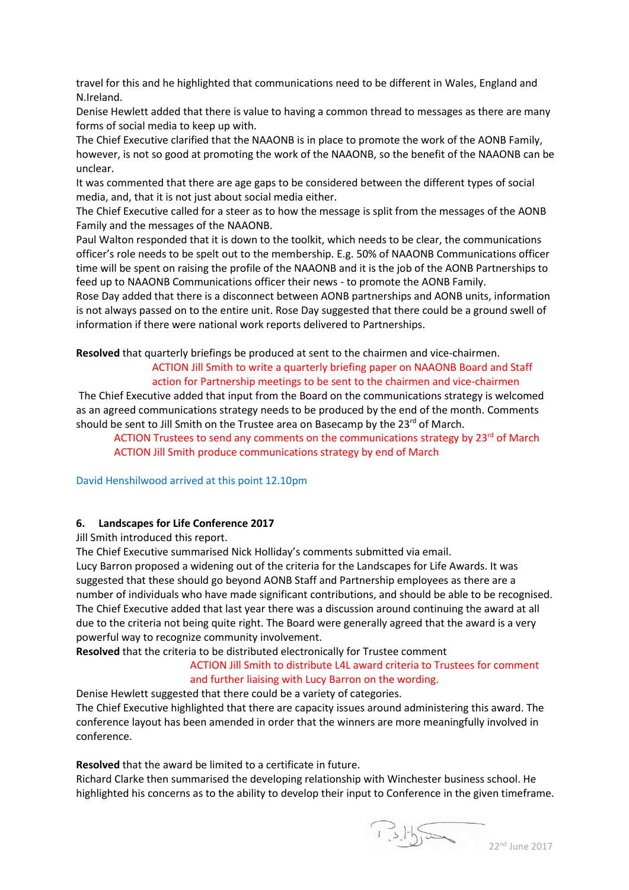travel for this and he highlighted that communications need to be different in Wales, England and N.Ireland.

Denise Hewlett added that there is value to having a common thread to messages as there are many forms of social media to keep up with.

The Chief Executive clarified that the NAAONB is in place to promote the work of the AONB Family, however, is not so good at promoting the work of the NAAONB, so the benefit of the NAAONB can be unclear.

It was commented that there are age gaps to be considered between the different types of social media, and, that it is not just about social media either.

The Chief Executive called for a steer as to how the message is split from the messages of the AONB Family and the messages of the NAAONB.

Paul Walton responded that it is down to the toolkit, which needs to be clear, the communications officer's role needs to be spelt out to the membership. E.g. 50% of NAAONB Communications officer time will be spent on raising the profile of the NAAONB and it is the job of the AONB Partnerships to feed up to NAAONB Communications officer their news - to promote the AONB Family.

Rose Day added that there is a disconnect between AONB partnerships and AONB units, information is not always passed on to the entire unit. Rose Day suggested that there could be a ground swell of information if there were national work reports delivered to Partnerships.

# **Resolved** that quarterly briefings be produced at sent to the chairmen and vice-chairmen. ACTION Jill Smith to write a quarterly briefing paper on NAAONB Board and Staff action for Partnership meetings to be sent to the chairmen and vice-chairmen

The Chief Executive added that input from the Board on the communications strategy is welcomed as an agreed communications strategy needs to be produced by the end of the month. Comments should be sent to Jill Smith on the Trustee area on Basecamp by the  $23^{\text{rd}}$  of March.

ACTION Trustees to send any comments on the communications strategy by 23<sup>rd</sup> of March ACTION Jill Smith produce communications strategy by end of March

David Henshilwood arrived at this point 12.10pm

# **6. Landscapes for Life Conference 2017**

Jill Smith introduced this report.

The Chief Executive summarised Nick Holliday's comments submitted via email.

Lucy Barron proposed a widening out of the criteria for the Landscapes for Life Awards. It was suggested that these should go beyond AONB Staff and Partnership employees as there are a number of individuals who have made significant contributions, and should be able to be recognised. The Chief Executive added that last year there was a discussion around continuing the award at all due to the criteria not being quite right. The Board were generally agreed that the award is a very powerful way to recognize community involvement.

**Resolved** that the criteria to be distributed electronically for Trustee comment

# ACTION Jill Smith to distribute L4L award criteria to Trustees for comment and further liaising with Lucy Barron on the wording.

Denise Hewlett suggested that there could be a variety of categories. The Chief Executive highlighted that there are capacity issues around administering this award. The conference layout has been amended in order that the winners are more meaningfully involved in conference.

**Resolved** that the award be limited to a certificate in future.

Richard Clarke then summarised the developing relationship with Winchester business school. He highlighted his concerns as to the ability to develop their input to Conference in the given timeframe.

22<sup>nd</sup> June 2017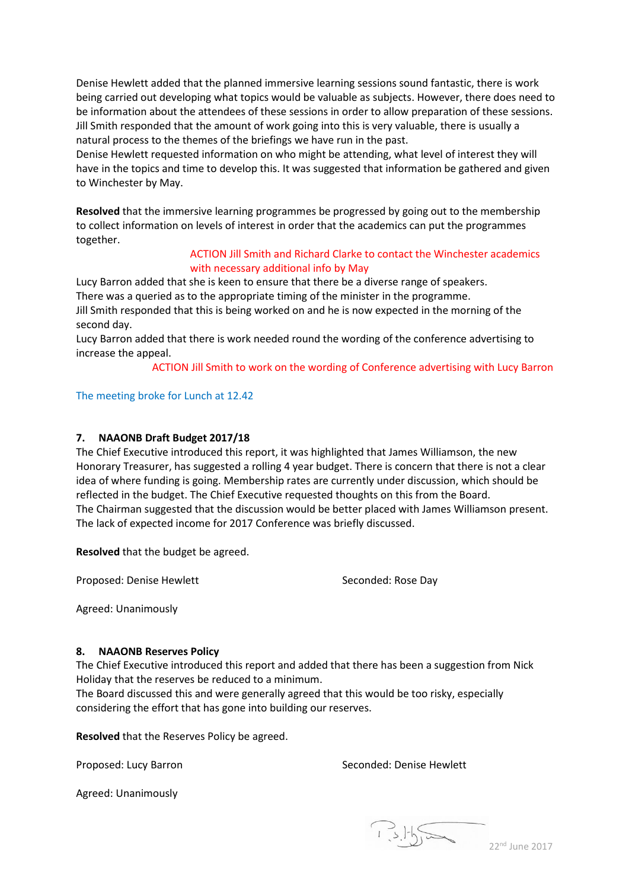Denise Hewlett added that the planned immersive learning sessions sound fantastic, there is work being carried out developing what topics would be valuable as subjects. However, there does need to be information about the attendees of these sessions in order to allow preparation of these sessions. Jill Smith responded that the amount of work going into this is very valuable, there is usually a natural process to the themes of the briefings we have run in the past.

Denise Hewlett requested information on who might be attending, what level of interest they will have in the topics and time to develop this. It was suggested that information be gathered and given to Winchester by May.

**Resolved** that the immersive learning programmes be progressed by going out to the membership to collect information on levels of interest in order that the academics can put the programmes together.

#### ACTION Jill Smith and Richard Clarke to contact the Winchester academics with necessary additional info by May

Lucy Barron added that she is keen to ensure that there be a diverse range of speakers. There was a queried as to the appropriate timing of the minister in the programme.

Jill Smith responded that this is being worked on and he is now expected in the morning of the second day.

Lucy Barron added that there is work needed round the wording of the conference advertising to increase the appeal.

ACTION Jill Smith to work on the wording of Conference advertising with Lucy Barron

# The meeting broke for Lunch at 12.42

# **7. NAAONB Draft Budget 2017/18**

The Chief Executive introduced this report, it was highlighted that James Williamson, the new Honorary Treasurer, has suggested a rolling 4 year budget. There is concern that there is not a clear idea of where funding is going. Membership rates are currently under discussion, which should be reflected in the budget. The Chief Executive requested thoughts on this from the Board. The Chairman suggested that the discussion would be better placed with James Williamson present. The lack of expected income for 2017 Conference was briefly discussed.

**Resolved** that the budget be agreed.

Proposed: Denise Hewlett Seconded: Rose Day

Agreed: Unanimously

#### **8. NAAONB Reserves Policy**

The Chief Executive introduced this report and added that there has been a suggestion from Nick Holiday that the reserves be reduced to a minimum.

The Board discussed this and were generally agreed that this would be too risky, especially considering the effort that has gone into building our reserves.

**Resolved** that the Reserves Policy be agreed.

Proposed: Lucy Barron Seconded: Denise Hewlett

Agreed: Unanimously

22<sup>nd</sup> June 2017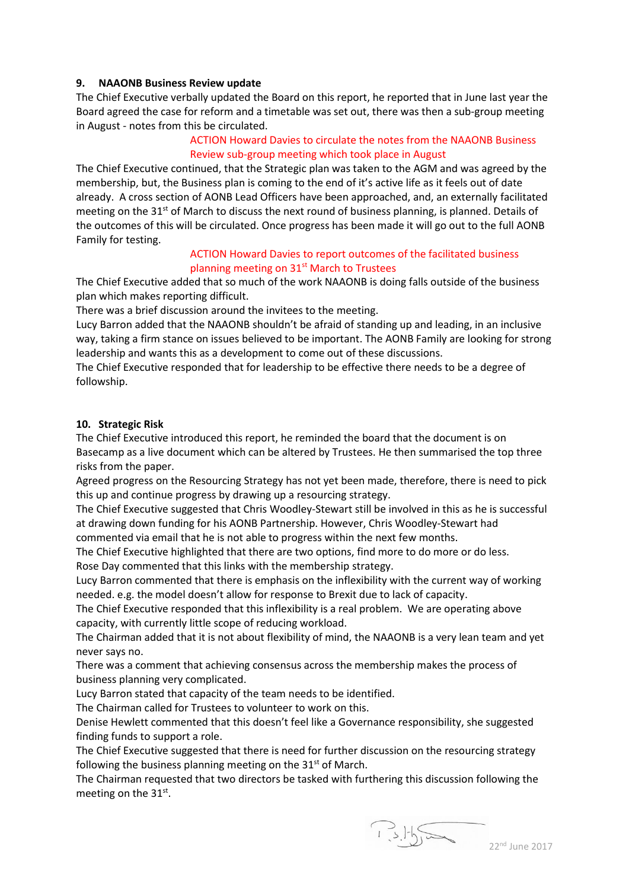#### **9. NAAONB Business Review update**

The Chief Executive verbally updated the Board on this report, he reported that in June last year the Board agreed the case for reform and a timetable was set out, there was then a sub-group meeting in August - notes from this be circulated.

# ACTION Howard Davies to circulate the notes from the NAAONB Business Review sub-group meeting which took place in August

The Chief Executive continued, that the Strategic plan was taken to the AGM and was agreed by the membership, but, the Business plan is coming to the end of it's active life as it feels out of date already. A cross section of AONB Lead Officers have been approached, and, an externally facilitated meeting on the  $31<sup>st</sup>$  of March to discuss the next round of business planning, is planned. Details of the outcomes of this will be circulated. Once progress has been made it will go out to the full AONB Family for testing.

#### ACTION Howard Davies to report outcomes of the facilitated business planning meeting on 31<sup>st</sup> March to Trustees

The Chief Executive added that so much of the work NAAONB is doing falls outside of the business plan which makes reporting difficult.

There was a brief discussion around the invitees to the meeting.

Lucy Barron added that the NAAONB shouldn't be afraid of standing up and leading, in an inclusive way, taking a firm stance on issues believed to be important. The AONB Family are looking for strong leadership and wants this as a development to come out of these discussions.

The Chief Executive responded that for leadership to be effective there needs to be a degree of followship.

#### **10. Strategic Risk**

The Chief Executive introduced this report, he reminded the board that the document is on Basecamp as a live document which can be altered by Trustees. He then summarised the top three risks from the paper.

Agreed progress on the Resourcing Strategy has not yet been made, therefore, there is need to pick this up and continue progress by drawing up a resourcing strategy.

The Chief Executive suggested that Chris Woodley-Stewart still be involved in this as he is successful at drawing down funding for his AONB Partnership. However, Chris Woodley-Stewart had commented via email that he is not able to progress within the next few months.

The Chief Executive highlighted that there are two options, find more to do more or do less. Rose Day commented that this links with the membership strategy.

Lucy Barron commented that there is emphasis on the inflexibility with the current way of working needed. e.g. the model doesn't allow for response to Brexit due to lack of capacity.

The Chief Executive responded that this inflexibility is a real problem. We are operating above capacity, with currently little scope of reducing workload.

The Chairman added that it is not about flexibility of mind, the NAAONB is a very lean team and yet never says no.

There was a comment that achieving consensus across the membership makes the process of business planning very complicated.

Lucy Barron stated that capacity of the team needs to be identified.

The Chairman called for Trustees to volunteer to work on this.

Denise Hewlett commented that this doesn't feel like a Governance responsibility, she suggested finding funds to support a role.

The Chief Executive suggested that there is need for further discussion on the resourcing strategy following the business planning meeting on the  $31<sup>st</sup>$  of March.

The Chairman requested that two directors be tasked with furthering this discussion following the meeting on the 31st.

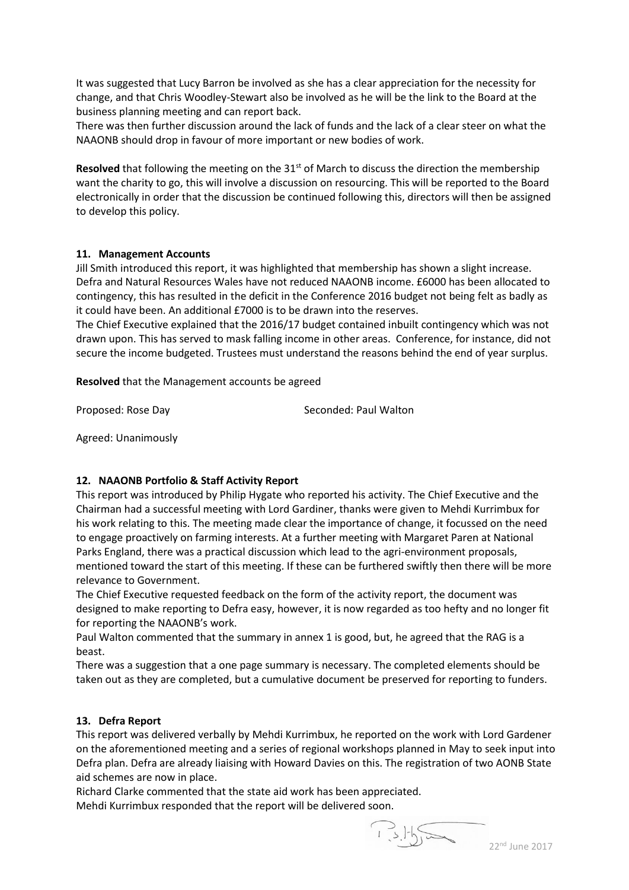It was suggested that Lucy Barron be involved as she has a clear appreciation for the necessity for change, and that Chris Woodley-Stewart also be involved as he will be the link to the Board at the business planning meeting and can report back.

There was then further discussion around the lack of funds and the lack of a clear steer on what the NAAONB should drop in favour of more important or new bodies of work.

**Resolved** that following the meeting on the 31<sup>st</sup> of March to discuss the direction the membership want the charity to go, this will involve a discussion on resourcing. This will be reported to the Board electronically in order that the discussion be continued following this, directors will then be assigned to develop this policy.

#### **11. Management Accounts**

Jill Smith introduced this report, it was highlighted that membership has shown a slight increase. Defra and Natural Resources Wales have not reduced NAAONB income. £6000 has been allocated to contingency, this has resulted in the deficit in the Conference 2016 budget not being felt as badly as it could have been. An additional £7000 is to be drawn into the reserves.

The Chief Executive explained that the 2016/17 budget contained inbuilt contingency which was not drawn upon. This has served to mask falling income in other areas. Conference, for instance, did not secure the income budgeted. Trustees must understand the reasons behind the end of year surplus.

**Resolved** that the Management accounts be agreed

Proposed: Rose Day Seconded: Paul Walton

Agreed: Unanimously

# **12. NAAONB Portfolio & Staff Activity Report**

This report was introduced by Philip Hygate who reported his activity. The Chief Executive and the Chairman had a successful meeting with Lord Gardiner, thanks were given to Mehdi Kurrimbux for his work relating to this. The meeting made clear the importance of change, it focussed on the need to engage proactively on farming interests. At a further meeting with Margaret Paren at National Parks England, there was a practical discussion which lead to the agri-environment proposals, mentioned toward the start of this meeting. If these can be furthered swiftly then there will be more relevance to Government.

The Chief Executive requested feedback on the form of the activity report, the document was designed to make reporting to Defra easy, however, it is now regarded as too hefty and no longer fit for reporting the NAAONB's work.

Paul Walton commented that the summary in annex 1 is good, but, he agreed that the RAG is a beast.

There was a suggestion that a one page summary is necessary. The completed elements should be taken out as they are completed, but a cumulative document be preserved for reporting to funders.

# **13. Defra Report**

This report was delivered verbally by Mehdi Kurrimbux, he reported on the work with Lord Gardener on the aforementioned meeting and a series of regional workshops planned in May to seek input into Defra plan. Defra are already liaising with Howard Davies on this. The registration of two AONB State aid schemes are now in place.

Richard Clarke commented that the state aid work has been appreciated. Mehdi Kurrimbux responded that the report will be delivered soon.

 $22^{nd}$  June 2017